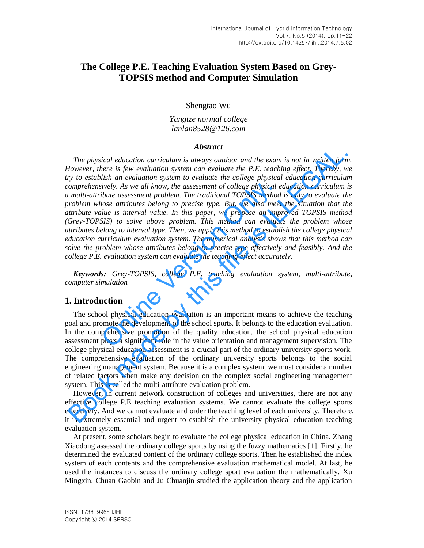# **The College P.E. Teaching Evaluation System Based on Grey-TOPSIS method and Computer Simulation**

Shengtao Wu

*Yangtze normal college lanlan8528@126.com* 

### *Abstract*

*The physical education curriculum is always outdoor and the exam is not in written form. However, there is few evaluation system can evaluate the P.E. teaching effect. Thereby, we try to establish an evaluation system to evaluate the college physical education curriculum comprehensively. As we all know, the assessment of college physical education curriculum is a multi-attribute assessment problem. The traditional TOPSIS method is only to evaluate the problem whose attributes belong to precise type. But, we also meet the situation that the attribute value is interval value. In this paper, we propose an improved TOPSIS method (Grey-TOPSIS) to solve above problem. This method can evaluate the problem whose attributes belong to interval type. Then, we apply this method to establish the college physical education curriculum evaluation system. The numerical analysis shows that this method can solve the problem whose attributes belong to precise type effectively and feasibly. And the college P.E. evaluation system can evaluate the teaching effect accurately.*  ively. As we all know, the assessment of college physical eibute assessment problem. The traditional TOPSIS method<br>ibute assessment problem. The traditional TOPSIS method<br>once attributes belong to precise type. But, we als **EXECUTE:** The physical education curriculum is abstract **ADSTET AND**<br> **EXECUTE:** The physical education system can evoluate the P.E. teaching effect. Thereby, we not provide the the proposed in the valuation system can e

*Keywords: Grey-TOPSIS, college P.E. teaching evaluation system, multi-attribute, computer simulation* 

## **1. Introduction**

The school physical education evaluation is an important means to achieve the teaching goal and promote the development of the school sports. It belongs to the education evaluation. In the comprehensive promotion of the quality education, the school physical education assessment plays a significant role in the value orientation and management supervision. The college physical education assessment is a crucial part of the ordinary university sports work. The comprehensive evaluation of the ordinary university sports belongs to the social engineering management system. Because it is a complex system, we must consider a number of related factors when make any decision on the complex social engineering management system. This is called the multi-attribute evaluation problem.

However, in current network construction of colleges and universities, there are not any effective college P.E teaching evaluation systems. We cannot evaluate the college sports effectively. And we cannot evaluate and order the teaching level of each university. Therefore, it is extremely essential and urgent to establish the university physical education teaching evaluation system.

At present, some scholars begin to evaluate the college physical education in China. Zhang Xiaodong assessed the ordinary college sports by using the fuzzy mathematics [1]. Firstly, he determined the evaluated content of the ordinary college sports. Then he established the index system of each contents and the comprehensive evaluation mathematical model. At last, he used the instances to discuss the ordinary college sport evaluation the mathematically. Xu Mingxin, Chuan Gaobin and Ju Chuanjin studied the application theory and the application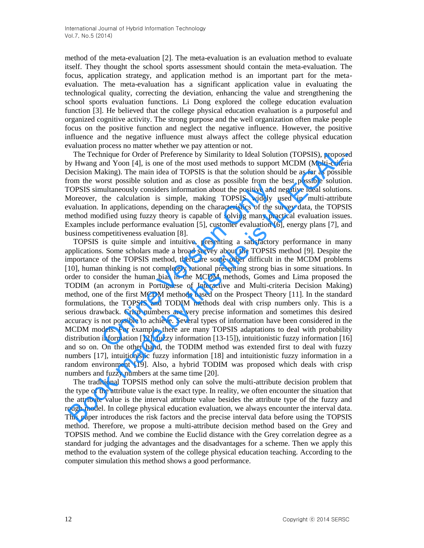method of the meta-evaluation [2]. The meta-evaluation is an evaluation method to evaluate itself. They thought the school sports assessment should contain the meta-evaluation. The focus, application strategy, and application method is an important part for the metaevaluation. The meta-evaluation has a significant application value in evaluating the technological quality, correcting the deviation, enhancing the value and strengthening the school sports evaluation functions. Li Dong explored the college education evaluation function [3]. He believed that the college physical education evaluation is a purposeful and organized cognitive activity. The strong purpose and the well organization often make people focus on the positive function and neglect the negative influence. However, the positive influence and the negative influence must always affect the college physical education evaluation process no matter whether we pay attention or not.

The Technique for Order of Preference by Similarity to Ideal Solution (TOPSIS), proposed by Hwang and Yoon [4], is one of the most used methods to support MCDM (Multi-criteria Decision Making). The main idea of TOPSIS is that the solution should be as far as possible from the worst possible solution and as close as possible from the best possible solution. TOPSIS simultaneously considers information about the positive and negative ideal solutions. Moreover, the calculation is simple, making TOPSIS widely used in multi-attribute evaluation. In applications, depending on the characteristics of the survey data, the TOPSIS method modified using fuzzy theory is capable of solving many practical evaluation issues. Examples include performance evaluation [5], customer evaluation [6], energy plans [7], and business competitiveness evaluation [8].

TOPSIS is quite simple and intuitive, presenting a satisfactory performance in many applications. Some scholars made a broad survey about the TOPSIS method [9]. Despite the importance of the TOPSIS method, there are some other difficult in the MCDM problems [10], human thinking is not completely rational presenting strong bias in some situations. In order to consider the human bias in the MCDM methods, Gomes and Lima proposed the TODIM (an acronym in Portuguese of Interactive and Multi-criteria Decision Making) method, one of the first MCDM methods based on the Prospect Theory [11]. In the standard formulations, the TOPSIS and TODIM methods deal with crisp numbers only. This is a serious drawback. Crisp numbers are very precise information and sometimes this desired accuracy is not possible to achieve. Several types of information have been considered in the MCDM models. For example, there are many TOPSIS adaptations to deal with probability distribution information [12], fuzzy information [13-15]), intuitionistic fuzzy information [16] and so on. On the other hand, the TODIM method was extended first to deal with fuzzy numbers [17], intuitionistic fuzzy information [18] and intuitionistic fuzzy information in a random environment [19]. Also, a hybrid TODIM was proposed which deals with crisp numbers and fuzzy numbers at the same time [20]. one is expendited and above the positive and probable information about the positive and n<br>the calculation is simple, making TOPSIS widely u<br>In applications, depending on the characteristics of the sulfified using fuzzy th Aradaan process on mater worser or pay accentron or the matter or the matter in the pay and Yon (ToPSIS), proposes yo The Technique for Order of Preference by Similarity to Ideal Solution (TOPSIS), proposes pectision Makin

The traditional TOPSIS method only can solve the multi-attribute decision problem that the type of the attribute value is the exact type. In reality, we often encounter the situation that the attribute value is the interval attribute value besides the attribute type of the fuzzy and rough model. In college physical education evaluation, we always encounter the interval data. This paper introduces the risk factors and the precise interval data before using the TOPSIS method. Therefore, we propose a multi-attribute decision method based on the Grey and TOPSIS method. And we combine the Euclid distance with the Grey correlation degree as a standard for judging the advantages and the disadvantages for a scheme. Then we apply this method to the evaluation system of the college physical education teaching. According to the computer simulation this method shows a good performance.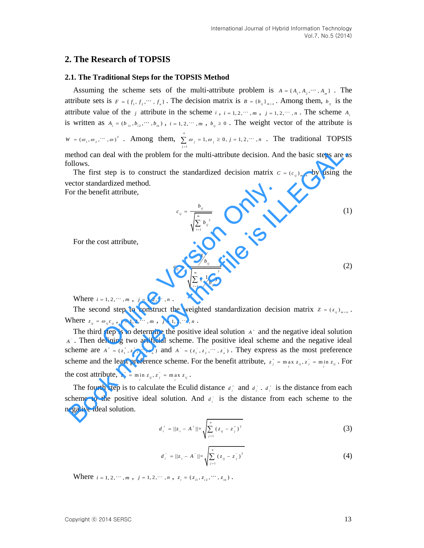## **2. The Research of TOPSIS**

#### **2.1. The Traditional Steps for the TOPSIS Method**

Assuming the scheme sets of the multi-attribute problem is  $A = \{A_1, A_2, \dots, A_m\}$ . The attribute sets is  $F = \{f_1, f_2, \dots, f_n\}$ . The decision matrix is  $B = \{b_{ij}\}_{m \times n}$ . Among them,  $b_{ij}$  is the attribute value of the *j* attribute in the scheme *i*,  $i = 1, 2, \dots, m$ ,  $j = 1, 2, \dots, n$ . The scheme  $A_i$ is written as  $A_i = (b_{i1}, b_{i2}, \dots, b_{in})$ ,  $i = 1, 2, \dots, m$ ,  $b_{ij} \ge 0$ . The weight vector of the attribute is  $W = (\omega_1, \omega_2, \cdots, \omega)^T$  **. Among them,**  $\sum_{i=1}^{n} \omega_i = 1, \omega_i \ge 0, j = 1, 2, \cdots$ 1  $\sum \omega_j = 1, \omega_j \ge 0, j = 1, 2, \dots, n$ . The traditional TOPSIS *j*  $\equiv$ method can deal with the problem for the multi-attribute decision. And the basic steps are as follows.

The first step is to construct the standardized decision matrix  $c = (c_{ij})_{max}$  by using the vector standardized method.

For the benefit attribute,

$$
c_{ij} = \frac{b_{ij}}{\sqrt{\sum_{i=1}^{m} b_{ij}^{2}}}
$$
 (1)

For the cost attribute,

lardized method.

\neffi attribute,

\n
$$
c_{ij} = \frac{b_{ij}}{\sqrt{\sum_{i=1}^{m} b_{ij}^{2}}}
$$
\nof attribute,

\n
$$
c_{ij} = \frac{1/b_{ij}}{\sqrt{\sum_{i=1}^{m} \left(\frac{1}{b_{ij}}\right)^{2}}}
$$
\nof  $\frac{1}{\sqrt{\sum_{i=1}^{m} \left(\frac{1}{b_{ij}}\right)^{2}}}$ 

\nand step to construct the weighted standardization decision matrix  $z = (z_{ij})_{m \times n}$ .

\nwhere  $\omega_{ij} c_{ij}$ ,  $i = 1, 2, \dots, m$ ,  $j = 1, 2, \dots, n$ .

\nLet  $\omega_{ij} c_{ij}$ ,  $i = 1, 2, \dots, m$ ,  $j = 1, 2, \dots, n$ .

\nLet  $\omega_{ij} c_{ij}$  is to determine the positive ideal solution  $A^*$  and the negative ideal solution  $A^*$  and the negative ideal solution  $A^*$  is the negative ideal solution.

Where  $i = 1, 2, \dots, m$ ,  $j = 1, 2, \dots, n$ .

The second step to construct the weighted standardization decision matrix  $z = (z_{ij})_{max}$ . Where  $z_{ij} = \omega_{ij} c_{ij}$ ,  $i = 1, 2, \cdots, m$ ,  $j = 1, 2, \cdots, n$ .

The third step is to determine the positive ideal solution  $A^*$  and the negative ideal solution *A* . Then defining two artificial scheme. The positive ideal scheme and the negative ideal scheme are  $A^+ = (z_1^+, z_2^+, \dots, z_n^+)$  and  $A^- = (z_1^-, z_2^-, \dots, z_n^-)$ . They express as the most preference scheme and the least preference scheme. For the benefit attribute,  $z_j^* = \max_i z_{ij}, z_j^* = \min_i z_{ij}$ . For the cost attribute,  $z_j^* = \min_i z_{ij}, z_j^* = \max_i z_{ij}$ . nethod can deal with the problem for the multi-attribute decision. And the basic steps are a<br>
The first step is to construct the standardized decision matrix  $c = (c_q)_{n+1}$  by using the<br>
The first step is to construct the

The fourth step is to calculate the Eculid distance  $d_i^*$  and  $d_i^*$ .  $d_i^*$  is the distance from each scheme to the positive ideal solution. And  $d_i$  is the distance from each scheme to the negative ideal solution.

$$
d_i^+ = ||z_i - A^+|| = \sqrt{\sum_{j=1}^n (z_{ij} - z_j^+)^2}
$$
 (3)

$$
d_i^- = ||z_i - A^-|| = \sqrt{\sum_{j=1}^n (z_{ij} - z_j^-)^2}
$$
 (4)

Where  $i = 1, 2, \dots, m$ ,  $j = 1, 2, \dots, n$ ,  $z_i = (z_{i1}, z_{i2}, \dots, z_{in})$ .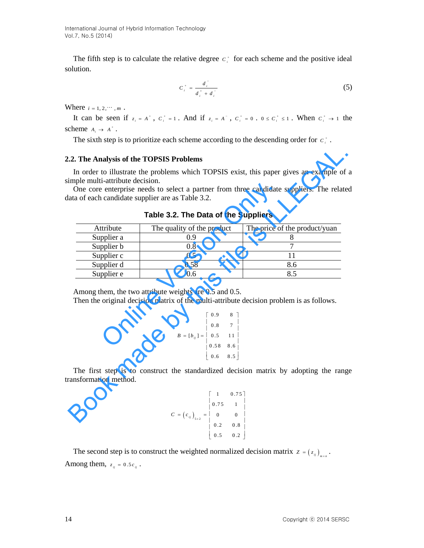International Journal of Hybrid Information Technology Vol.7, No.5 (2014)

The fifth step is to calculate the relative degree  $c_i^*$  for each scheme and the positive ideal solution.

$$
C_i^+ = \frac{d_i^-}{d_i^+ + d_i^-}
$$
 (5)

Where  $i = 1, 2, \dots, m$ .

It can be seen if  $z_i = A^*$ ,  $C_i^* = 1$ . And if  $z_i = A^-$ ,  $C_i^* = 0$ .  $0 \le C_i^* \le 1$ . When  $C_i^* \to 1$  the scheme  $A_i \rightarrow A^+$ .

The sixth step is to prioritize each scheme according to the descending order for  $c_i^*$ .

#### **2.2. The Analysis of the TOPSIS Problems**

|            | Table 3.2. The Data of the Suppliers                                                                     |                               |
|------------|----------------------------------------------------------------------------------------------------------|-------------------------------|
| Attribute  | The quality of the product                                                                               | The price of the product/yuan |
| Supplier a | 0.9                                                                                                      | 8                             |
| Supplier b | 0.8                                                                                                      | $\tau$                        |
| Supplier c | 0.5                                                                                                      | 11                            |
| Supplier d | 0.58                                                                                                     | 8.6                           |
| Supplier e | 0.6                                                                                                      | 8.5                           |
|            | Then the original decision matrix of the multi-attribute decision problem is as follows.                 |                               |
|            | $B = [b_{ij}] = \begin{bmatrix} 0.9 & 8 \\ 0.8 & 7 \\ 0.5 & 11 \\ 0.58 & 8.6 \\ 0.6 & 8.5 \end{bmatrix}$ |                               |

**Table 3.2. The Data of the Suppliers** 

$$
B = [b_{ij}] = \begin{bmatrix} 0.9 & 8 \\ 0.8 & 7 \\ 0.5 & 11 \\ 0.58 & 8.6 \\ 0.6 & 8.5 \end{bmatrix}
$$

$$
C = (c_{ij})_{5 \times 2} = \begin{bmatrix} 1 & 0.75 \\ 0.75 & 1 \\ 0 & 0 \\ 0.2 & 0.8 \\ 0.5 & 0.2 \end{bmatrix}
$$

The second step is to construct the weighted normalized decision matrix  $z = (z_{ij})_{i \neq j}$ . Among them,  $z_{ij} = 0.5c_{ij}$ .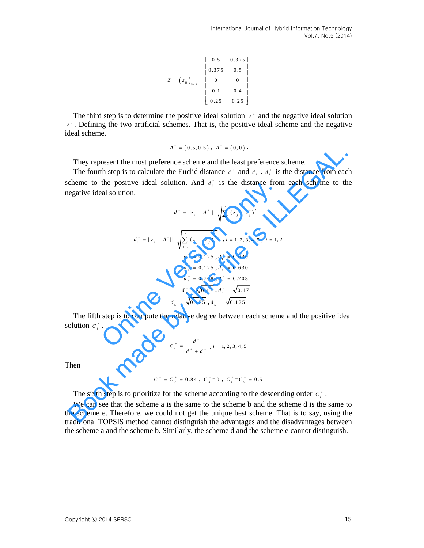International Journal of Hybrid Information Technology Vol.7, No.5 (2014)

$$
Z = \left(z_{ij}\right)_{5 \times 2} = \begin{bmatrix} 0.5 & 0.375 \\ 0.375 & 0.5 \\ 0 & 0 \\ 0.1 & 0.4 \\ 0.25 & 0.25 \end{bmatrix}
$$

The third step is to determine the positive ideal solution  $A^*$  and the negative ideal solution *A* . Defining the two artificial schemes. That is, the positive ideal scheme and the negative ideal scheme.

$$
A^+ = (0.5, 0.5), A^- = (0, 0).
$$

They represent the most preference scheme and the least preference scheme.

The fourth step is to calculate the Euclid distance  $d_i^*$  and  $d_i^*$ .  $d_i^*$  is the distance from each scheme to the positive ideal solution. And  $d_i$  is the distance from each scheme to the negative ideal solution.

2 = 
$$
(z_n)_{n+2}
$$
 =  $\begin{vmatrix} 0 & 0 & 0 \\ 0 & 0 & 0 \\ 0.1 & 0.4 & 0.4 \end{vmatrix}$   
\nThe third step is to determine the positive ideal solution *A*<sup>+</sup> and the negative ideal solution  
\n*A*<sup>+</sup> = (0.5,0.5), *A*<sup>+</sup> = (0.0).  
\nThe fourth step is to calculate the Euclid distance *a*<sup>+</sup> and *a*<sup>+</sup>, *a*<sup>+</sup> is the distance from each scheme to the positive ideal solution. And *a*<sup>+</sup> is the distance from each scheme to the positive ideal solution. And *a*<sup>+</sup> is the distance from each scheme to the negative ideal solution.  
\n
$$
a_i^* = ||z_i - A^*|| = \sqrt{\sum_{i=1}^n (z_i - z_i^*)^2}
$$
\n
$$
a_i^* = ||z_i - A^*|| = \sqrt{\sum_{i=1}^n (z_i - z_i^*)^2}
$$
\n
$$
a_i^* = 0.125, a_i^* = 0.630
$$
\n
$$
a_i^* = 0.125, a_i^* = 0.630
$$
\n
$$
a_i^* = 0.125, a_i^* = 0.708
$$
\n
$$
a_i^* = 0.125, a_i^* = 0.708
$$
\n
$$
a_i^* = 0.125, a_i^* = 0.708
$$
\n
$$
a_i^* = 0.125, a_i^* = 0.708
$$
\n
$$
a_i^* = 0.125, a_i^* = 0.708
$$
\n
$$
a_i^* = 0.125, a_i^* = 0.708
$$
\n
$$
a_i^* = 0.125, a_i^* = 0.708
$$
\n
$$
a_i^* = 0.125, a_i^* = 0.708
$$
\n
$$
a_i^* = 0.125, a_i^* = 0.708
$$
\n
$$
a_i^* = 0.125, a_i^* = 0.708
$$
\nThe fifth step is to compute the relative degree between each scheme and the positive ideal solution *C*<sup>\*</sup>.

\nThe number of elements

The fifth step is to compute the relative degree between each scheme and the positive ideal solution  $c_i^*$ .

$$
C_i^+ = \frac{d_i^-}{d_i^+ + d_i^-}, i = 1, 2, 3, 4, 5
$$

Then

$$
C_1^+ = C_2^+ = 0.84
$$
, 
$$
C_3^+ = 0
$$
, 
$$
C_4^+ = C_5^+ = 0.5
$$

The sixth step is to prioritize for the scheme according to the descending order  $c_i^*$ .

We can see that the scheme a is the same to the scheme b and the scheme d is the same to the scheme e. Therefore, we could not get the unique best scheme. That is to say, using the traditional TOPSIS method cannot distinguish the advantages and the disadvantages between the scheme a and the scheme b. Similarly, the scheme d and the scheme e cannot distinguish.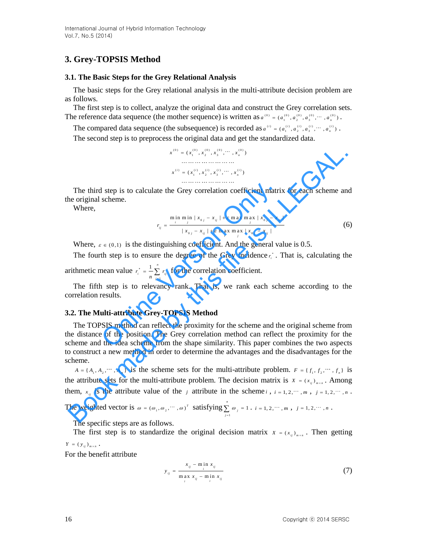# **3. Grey-TOPSIS Method**

#### **3.1. The Basic Steps for the Grey Relational Analysis**

The basic steps for the Grey relational analysis in the multi-attribute decision problem are as follows.

The first step is to collect, analyze the original data and construct the Grey correlation sets. The reference data sequence (the mother sequence) is written as  $a^{(0)} = (a_1^{(0)}, a_2^{(0)}, a_3^{(0)}, \cdots, a_n^{(0)})$ .

The compared data sequence (the subsequence) is recorded as  $a^{(i)} = (a_1^{(i)}, a_2^{(i)}, a_3^{(i)}, \cdots, a_n^{(i)})$ .

The second step is to preprocess the original data and get the standardized data.

$$
x^{(0)} = (x_1^{(0)}, x_2^{(0)}, x_3^{(0)}, \cdots, x_n^{(0)})
$$
  
........  

$$
x^{(i)} = (x_1^{(i)}, x_2^{(i)}, x_3^{(i)}, \cdots, x_n^{(i)})
$$

The third step is to calculate the Grey correlation coefficient matrix for each scheme and the original scheme.

Where,

$$
r_{ij} = \frac{\min_{i} \min_{j} |x_{0j} - x_{ij}| + \varepsilon \max_{i} \max_{j} |x_{0j} - x_{ij}|}{|x_{0j} - x_{ij}| + \varepsilon \max_{i} \max_{j} |x_{0j} - x_{ij}|}
$$
(6)

Where,  $\varepsilon \in (0,1)$  is the distinguishing coefficient. And the general value is 0.5.

The fourth step is to ensure the degree of the Grey incidence  $r_i^*$ . That is, calculating the arithmetic mean value 1  $\frac{n}{2}$ *i*  $\sum_{j=1}^i i_j$  $r_i^* = -\sum_{n} r_i^*$ 19.  $f = \frac{1}{n} \sum_{i=1}^n r_{ij}$  for the correlation coefficient. If step is to calculate the Grey correlation coefficient matri<br>
scheme.<br>  $r_{ij} = \frac{\min_{j} m_{ij} + x_{0j} - x_{ij} + \varepsilon \max_{j} m_{j}x_{0j} - x_{ij}}{|x_{0j} - x_{ij} + \varepsilon \max_{j} x_{0j} - x_{ij}|}$ <br>  $\tau \in (0,1)$  is the distinguishing coefficient. And the genera

The fifth step is to relevancy rank. That is, we rank each scheme according to the correlation results.

#### **3.2. The Multi-attribute Grey-TOPSIS Method**

The TOPSIS method can reflect the proximity for the scheme and the original scheme from the distance of the position. The Grey correlation method can reflect the proximity for the scheme and the idea scheme from the shape similarity. This paper combines the two aspects to construct a new method in order to determine the advantages and the disadvantages for the scheme.  $x^{(i)} = (x_i^{(0)}, x_i^{(i)}, x_i^{(0)}, \cdots, x_e^{(i)})$ <br>
The third step is to calculate the Grey correlation coefficient matrix for each scheme an<br>
enoriginal scheme.<br>
Where,<br>  $x \in (x_i^{(i)}, x_i^{(i)}, x_i^{(i)}, \cdots, x_e^{(i)})$ <br>
Where,  $x \in (0,1)$  is the di

 $A = \{A_1, A_2, \dots, A_m\}$  is the scheme sets for the multi-attribute problem.  $F = \{f_1, f_2, \dots, f_n\}$  is the attribute sets for the multi-attribute problem. The decision matrix is  $X = (x_{ij})_{max}$ . Among them,  $x_{ij}$  is the attribute value of the *j* attribute in the scheme *i*,  $i = 1, 2, \dots, m$ ,  $j = 1, 2, \dots, n$ .

The weighted vector is  $\omega = (\omega_1, \omega_2, \cdots, \omega)^T$  satisfying 1  $\sum_{i=1}^{n} \omega_i = 1$ ∠ *∞ j*<br>*j* = l  $\omega$  $\sum_{j=1}^{\infty} \omega_j = 1$ .  $i = 1, 2, \dots, m$ ,  $j = 1, 2, \dots, n$ .

The specific steps are as follows.

The first step is to standardize the original decision matrix  $X = (x_{ij})_{i,j \in \mathbb{Z}}$ . Then getting  $Y = (y_{ij})_{m \times n}$ .

For the benefit attribute

$$
y_{ij} = \frac{x_{ij} - \min_{i} x_{ij}}{\max_{i} x_{ij} - \min_{i} x_{ij}}
$$
(7)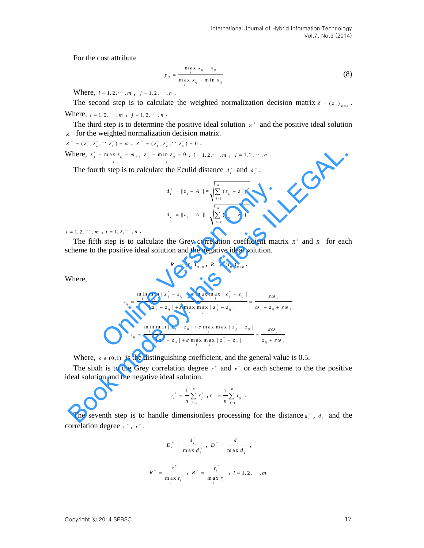For the cost attribute

$$
y_{ij} = \frac{\max_{i} x_{ij} - x_{ij}}{\max_{i} x_{ij} - \min_{i} x_{ij}}
$$
(8)

Where,  $i = 1, 2, \dots, m$ ,  $j = 1, 2, \dots, n$ .

The second step is to calculate the weighted normalization decision matrix  $z = (z_{ij})_{j \neq j \neq k}$ . Where,  $i = 1, 2, \dots, m$ ,  $j = 1, 2, \dots, n$ .

The third step is to determine the positive ideal solution  $z^*$  and the positive ideal solution *Z* for the weighted normalization decision matrix.

 $Z^+ = (z_1^+, z_2^+, \cdots z_n^+) = \omega, \; Z^- = (z_1^-, z_2^-, \cdots z_n^-) = 0.$ Where,  $z_j^* = \max z_{ij} = \omega_j$ ,  $z_j^- = \min z_{ij} = 0$ ,  $i = 1, 2, \dots, m$ ,  $j = 1, 2, \dots, n$ . *i i*

The fourth step is to calculate the Eculid distance  $d_i^+$  and  $d_i^-$ .

$$
d_i^+ = ||z_i - A^+|| = \sqrt{\sum_{j=1}^n (z_{ij} - z_j^+)^2}
$$

$$
d_i^- = ||z_i - A^-|| = \sqrt{\sum_{j=1}^n (z_{ij} - z_j^-)^2}
$$

 $i = 1, 2, \dots, m, j = 1, 2, \dots, n$ .

The fifth step is to calculate the Grey correlation coefficient matrix  $R^+$  and  $R^-$  for each scheme to the positive ideal solution and the negative ideal solution.

$$
R^+ = (r_{ij}^+)_{m \times n} , R^- = (r_{ij}^-)_{m \times n} .
$$

Where,

Where, 
$$
z_j^* = \max_i z_{ij} = \omega_j
$$
,  $z_j^* = \min_i z_{ij} = 0$ ,  $i = 1, 2, \dots, m$ ,  $j = 1, 2, \dots, n$ .  
\nThe fourth step is to calculate the *Euclid distance*  $a_j^*$  and  $a_j^*$ .  
\n
$$
a_i^* = ||z_i - A^*|| = \sqrt{\sum_{j=1}^n (z_{ij} - z_j^*)^2}
$$
\n
$$
= 1, 2, \dots, m, j = 1, 2, \dots, n.
$$
\nThe fifth step is to calculate the Grey correlation coefficient matrix  $\kappa^*$  and  $\kappa^-$  for each  
\ncheme to the positive ideal solution and the negative ideal solution.  
\n
$$
\kappa^* = (r_{ij}^*)_{max} \cdot \kappa^* = (r_{ij}^*)_{max}.
$$
\nWhere,  
\n
$$
r_{ij} = \frac{\min_i \min_i |z_j^* - z_{ij}| + \varepsilon \max_i \max_i |z_j^* - z_{ij}|}{|z_j^* - z_{ij}| + \varepsilon \max_i \max_i |z_j^* - z_{ij}|} = \frac{\varepsilon \omega_j}{\omega_j - z_{ij} + \varepsilon \omega_j}
$$
\nwhere,  $\varepsilon \in (0, 1)$  is the distinguishing coefficient, and the general value is 0.5.  
\nThe sixth is to the Grey correlation degree  $r^*$  and  $r^*$  or each scheme to the the positive  
\n
$$
r_{ij} = \frac{\min_i \min_i |z_j^* - z_{ij}| + \varepsilon \max_i \max_i |z_j^* - z_{ij}|}{|z_j^* - z_{ij}| + \varepsilon \max_i \max_i |z_j^* - z_{ij}|} = \frac{\varepsilon \omega_j}{z_{ij} + \varepsilon \omega_j}
$$
\nWhere,  $\varepsilon \in (0, 1)$  is the distinguishing coefficient, and the general value is 0.5.  
\nThe sixth is to the Grey correlation degree  $r^*$  and  $r^*$  or each scheme to the the positive  
\nded solution and the negative ideal solution.  
\n
$$
r_i^* = \frac{1}{n} \sum_{j=1}^n r_{ij}^*, r_i^* = \frac{1}{n} \sum_{j=1}^n r_{ij}^*
$$
.  
\nThe seventh step is to handle dimensionless processing for the distance  $a_i^*$ ,  $a_i^*$  and the

Where,  $\varepsilon \in (0,1)$  is the distinguishing coefficient, and the general value is 0.5.

The sixth is to the Grey correlation degree  $r^+$  and  $r^-$  or each scheme to the the positive ideal solution and the negative ideal solution.

$$
r_i^+ = \frac{1}{n} \sum_{j=1}^n r_{ij}^+, r_i^- = \frac{1}{n} \sum_{j=1}^n r_{ij}^-.
$$

The seventh step is to handle dimensionless processing for the distance  $d_i^*$ ,  $d_i^-$  and the correlation degree  $r^*$ ,  $r^-$ .

$$
D_i^+ = \frac{d_i^+}{\max_i d_i^+}, \ D_i^- = \frac{d_i^-}{\max_i d_i^-},
$$
  

$$
R^+ = \frac{r_i^+}{\max_i r_i^+}, \ R^- = \frac{r_i^-}{\max_i r_i^-}, \ i = 1, 2, \cdots, m
$$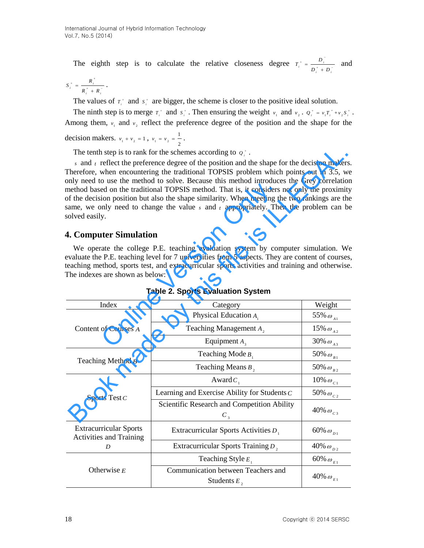The eighth step is to calculate the relative closeness degree  $T_i^* = \frac{D_i}{D_i^* + D_i^*}$  $T_i^+ = \frac{D_i^-}{D_i^+ + D}$  $A^+ = \frac{D_i^-}{D_i^+ + D_i^-}$  and

$$
S_i^+ = \frac{R_i^+}{R_i^+ + R_i^-} \; .
$$

The values of  $T_i^*$  and  $S_i^*$  are bigger, the scheme is closer to the positive ideal solution.

The ninth step is to merge  $T_i^+$  and  $S_i^+$ . Then ensuring the weight  $v_1$  and  $v_2$ .  $Q_i^+ = v_1 T_i^+ + v_2 S_i^+$ . Among them,  $v_1$  and  $v_2$  reflect the preference degree of the position and the shape for the

decision makers.  $v_1 + v_2 = 1$ ,  $v_1 = v_2$ 1  $v_1 = v_2 = \frac{1}{2}$ .

## **4. Computer Simulation**

|                                                                 | The tenth step is to rank for the schemes according to $q_i^*$ .<br>s and $t$ reflect the preference degree of the position and the shape for the decision makers.                                                                                                                                                                                                                                                                                                                |                                         |
|-----------------------------------------------------------------|-----------------------------------------------------------------------------------------------------------------------------------------------------------------------------------------------------------------------------------------------------------------------------------------------------------------------------------------------------------------------------------------------------------------------------------------------------------------------------------|-----------------------------------------|
| solved easily.                                                  | Therefore, when encountering the traditional TOPSIS problem which points out in 3.5, we<br>only need to use the method to solve. Because this method introduces the Grey correlation<br>method based on the traditional TOPSIS method. That is, it considers not only the proximity<br>of the decision position but also the shape similarity. When meeting the two rankings are the<br>same, we only need to change the value $s$ and $t$ appropriately. Then the problem can be |                                         |
| <b>4. Computer Simulation</b>                                   |                                                                                                                                                                                                                                                                                                                                                                                                                                                                                   |                                         |
| The indexes are shown as below:                                 | We operate the college P.E. teaching evaluation system by computer simulation. We<br>evaluate the P.E. teaching level for 7 universities from 5 aspects. They are content of courses,<br>teaching method, sports test, and extracurricular sports activities and training and otherwise.<br><b>Table 2. Sports Evaluation System</b>                                                                                                                                              |                                         |
| Index                                                           | Category                                                                                                                                                                                                                                                                                                                                                                                                                                                                          | Weight                                  |
|                                                                 | Physical Education $A_1$                                                                                                                                                                                                                                                                                                                                                                                                                                                          | 55% $\omega_{_{A1}}$                    |
| Content of Courses A                                            | Teaching Management $A_2$                                                                                                                                                                                                                                                                                                                                                                                                                                                         | $15\%$ $\omega_{_{A\,2}}$               |
|                                                                 | Equipment $A_3$                                                                                                                                                                                                                                                                                                                                                                                                                                                                   | 30% $\omega$ <sub>A3</sub>              |
|                                                                 | Teaching Mode $B_1$                                                                                                                                                                                                                                                                                                                                                                                                                                                               | 50% $\omega_{B1}$                       |
| Teaching Method B                                               | Teaching Means $B_2$                                                                                                                                                                                                                                                                                                                                                                                                                                                              | $50\%$ $\omega_{_{B\,2}}$               |
|                                                                 | Award $C_1$                                                                                                                                                                                                                                                                                                                                                                                                                                                                       | 10% $\omega_{c1}$                       |
| Sports Test $C$                                                 | Learning and Exercise Ability for Students C                                                                                                                                                                                                                                                                                                                                                                                                                                      | 50% $\omega_{c}$                        |
|                                                                 | Scientific Research and Competition Ability<br>$C_{\tiny{3}}$                                                                                                                                                                                                                                                                                                                                                                                                                     | 40% $\omega_{c3}$                       |
| <b>Extracurricular Sports</b><br><b>Activities and Training</b> | Extracurricular Sports Activities $D_1$                                                                                                                                                                                                                                                                                                                                                                                                                                           | $60\%$ $\omega_{\scriptscriptstyle D1}$ |
| D                                                               | Extracurricular Sports Training D <sub>2</sub>                                                                                                                                                                                                                                                                                                                                                                                                                                    | 40% $\omega_{D2}$                       |
|                                                                 | Teaching Style $E_1$                                                                                                                                                                                                                                                                                                                                                                                                                                                              | 60% $\omega_{E1}$                       |
| Otherwise $E$                                                   | Communication between Teachers and<br>Students $E_2$                                                                                                                                                                                                                                                                                                                                                                                                                              | 40% $\omega_{E1}$                       |

**Table 2. Sports Evaluation System**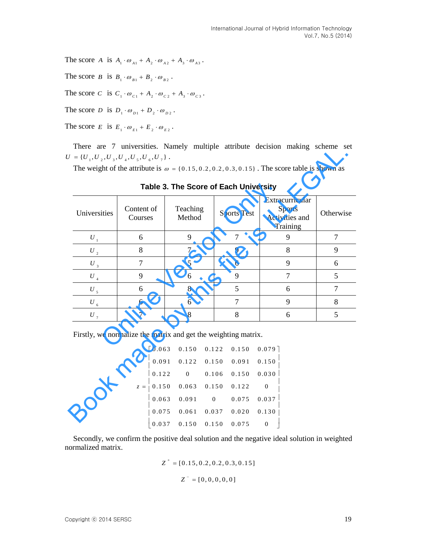The score A is  $A_1 \cdot \omega_{A1} + A_2 \cdot \omega_{A2} + A_3 \cdot \omega_{A3}$ .

The score *B* is  $B_1 \cdot \omega_{B_1} + B_2 \cdot \omega_{B_2}$ .

The score C is  $C_1 \cdot \omega_{c_1} + A_2 \cdot \omega_{c_2} + A_3 \cdot \omega_{c_3}$ .

The score *D* is  $D_1 \cdot \omega_{D_1} + D_2 \cdot \omega_{D_2}$ .

The score  $E$  is  $E_1 \cdot \omega_{E_1} + E_2 \cdot \omega_{E_2}$ .

There are 7 universities. Namely multiple attribute decision making scheme set  $U = \{U_{1}, U_{2}, U_{3}, U_{4}, U_{5}, U_{6}, U_{7}\}$ .

|              |                                                                | Table 3. The Score of Each University |                  |                    | The weight of the attribute is $\omega = \{0.15, 0.2, 0.2, 0.3, 0.15\}$ . The score table is shown as |                |
|--------------|----------------------------------------------------------------|---------------------------------------|------------------|--------------------|-------------------------------------------------------------------------------------------------------|----------------|
| Universities | Content of<br>Courses                                          | Teaching<br>Method                    |                  | <b>Sports Test</b> | Extracurricular<br><b>Sports</b><br>Activities and<br>Training                                        | Otherwise      |
| $U_{1}$      | 6                                                              | 9                                     |                  | $\tau$             | 9                                                                                                     | $\overline{7}$ |
| $U_{2}$      | 8                                                              | $\overline{7}$                        |                  | 9                  | 8                                                                                                     | 9              |
| $U_3$        | $\overline{7}$                                                 | 5                                     |                  | 6                  | 9                                                                                                     | 6              |
| $U_{_4}$     | 9                                                              | 6                                     |                  | 9                  | $\overline{7}$                                                                                        | 5              |
| $U_{5}$      | 6                                                              | 8                                     |                  | 5                  | 6                                                                                                     | $\overline{7}$ |
| $U_{6}$      | 6                                                              | 6                                     |                  | $\overline{7}$     | 9                                                                                                     | 8              |
| $U$ ,        | $\tau$                                                         | 8                                     |                  | 8                  | 6                                                                                                     | 5              |
|              | Firstly, we normalize the matrix and get the weighting matrix. |                                       |                  |                    |                                                                                                       |                |
|              | 0.063                                                          | 0.150                                 | 0.122            | 0.150              | $0.079$ ]                                                                                             |                |
|              | 0.091                                                          | 0.122                                 | 0.150            | 0.091              | 0.150                                                                                                 |                |
|              | 0.122                                                          | $\boldsymbol{0}$                      | 0.106            | 0.150              | 0.030                                                                                                 |                |
|              | 0.150<br>$z =$                                                 | 0.063                                 | 0.150            | 0.122              | $\boldsymbol{0}$                                                                                      |                |
|              | 0.063                                                          | 0.091                                 | $\boldsymbol{0}$ | 0.075              | 0.037                                                                                                 |                |
|              | 0.075                                                          | 0.061                                 | 0.037            | 0.020              | 0.130                                                                                                 |                |
|              |                                                                | $0.027$ $0.150$ $0.150$ $0.075$ $0.$  |                  |                    |                                                                                                       |                |

**Table 3. The Score of Each University** 

|       | the matrix and got the weighting matrix.                              |                                         |                                                       |  |
|-------|-----------------------------------------------------------------------|-----------------------------------------|-------------------------------------------------------|--|
|       | $\begin{bmatrix} 0.063 & 0.150 & 0.122 & 0.150 & 0.079 \end{bmatrix}$ |                                         |                                                       |  |
|       |                                                                       | $0.091$ $0.122$ $0.150$ $0.091$ $0.150$ |                                                       |  |
|       | $\begin{array}{cccccc} 0.122 & 0 & 0.106 & 0.150 & 0.030 \end{array}$ |                                         |                                                       |  |
| $z =$ | $\begin{array}{cccccc} 0.150 & 0.063 & 0.150 & 0.122 \end{array}$     |                                         |                                                       |  |
|       |                                                                       |                                         | $0.063 \quad 0.091 \qquad 0 \qquad 0.075 \quad 0.037$ |  |
|       | $\begin{array}{cccccc} 0.075 & 0.061 & 0.037 & 0.020 \end{array}$     |                                         | 0.130                                                 |  |
|       |                                                                       | $0.037$ $0.150$ $0.150$ $0.075$         |                                                       |  |
|       |                                                                       |                                         |                                                       |  |

Secondly, we confirm the positive deal solution and the negative ideal solution in weighted normalized matrix.

$$
Z^+ = [0.15, 0.2, 0.2, 0.3, 0.15]
$$

$$
Z^- = [0, 0, 0, 0, 0]
$$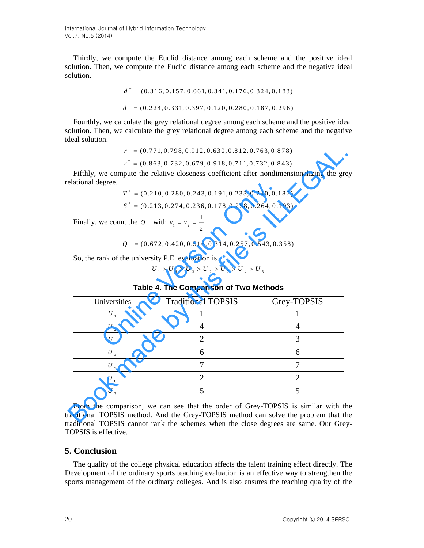International Journal of Hybrid Information Technology Vol.7, No.5 (2014)

Thirdly, we compute the Euclid distance among each scheme and the positive ideal solution. Then, we compute the Euclid distance among each scheme and the negative ideal solution.

$$
d^+ = (0.316, 0.157, 0.061, 0.341, 0.176, 0.324, 0.183)
$$
  

$$
d^- = (0.224, 0.331, 0.397, 0.120, 0.280, 0.187, 0.296)
$$

Fourthly, we calculate the grey relational degree among each scheme and the positive ideal solution. Then, we calculate the grey relational degree among each scheme and the negative ideal solution.

```
r^{+} = (0.771, 0.798, 0.912, 0.630, 0.812, 0.763, 0.878)r^+ = (0.771, 0.798, 0.912, 0.630, 0.812, 0.763, 0.878)<br>r^- = (0.863, 0.732, 0.679, 0.918, 0.711, 0.732, 0.843)
```

|                                                            | $r^* = (0.771, 0.798, 0.912, 0.630, 0.812, 0.763, 0.878)$                                |                |
|------------------------------------------------------------|------------------------------------------------------------------------------------------|----------------|
|                                                            | $r^{\texttt{}} = (0.863, 0.732, 0.679, 0.918, 0.711, 0.732, 0.843)$                      |                |
| elational degree.                                          | Fifthly, we compute the relative closeness coefficient after nondimensionalizing the gre |                |
|                                                            | $T^+ = (0.210, 0.280, 0.243, 0.191, 0.233, 0.240, 0.187)$                                |                |
|                                                            | $S^+ = (0.213, 0.274, 0.236, 0.178, 0.258, 0.264, 0.193)$                                |                |
| Finally, we count the $Q^+$ with $v_1 = v_2 = \frac{1}{2}$ |                                                                                          |                |
|                                                            | $Q^+ = (0.672, 0.420, 0.516, 0.314, 0.257, 0.543, 0.358)$                                |                |
|                                                            |                                                                                          |                |
|                                                            |                                                                                          |                |
|                                                            | $U_1 > U_6 > U_3 > U_7 > U_7 > U_4 > U_5$                                                |                |
| So, the rank of the university P.E. evaluation is          | Table 4. The Comparison of Two Methods                                                   |                |
| Universities                                               | <b>Traditional TOPSIS</b>                                                                | Grey-TOPSIS    |
| $\boldsymbol{U}_{_{1}}$                                    | 1                                                                                        | L              |
| $U_{2}$                                                    | 4                                                                                        | 4              |
| $U_{3}$                                                    | $\overline{2}$                                                                           | 3              |
| $U_{4}$                                                    | 6                                                                                        | 6              |
|                                                            | 7                                                                                        | 7              |
| $U_{\scriptscriptstyle 5}$<br>$U_{6}$                      | $\overline{2}$                                                                           | $\overline{2}$ |

## **Table 4. The Comparison of Two Methods**

From the comparison, we can see that the order of Grey-TOPSIS is similar with the traditional TOPSIS method. And the Grey-TOPSIS method can solve the problem that the traditional TOPSIS cannot rank the schemes when the close degrees are same. Our Grey-TOPSIS is effective.

## **5. Conclusion**

The quality of the college physical education affects the talent training effect directly. The Development of the ordinary sports teaching evaluation is an effective way to strengthen the sports management of the ordinary colleges. And is also ensures the teaching quality of the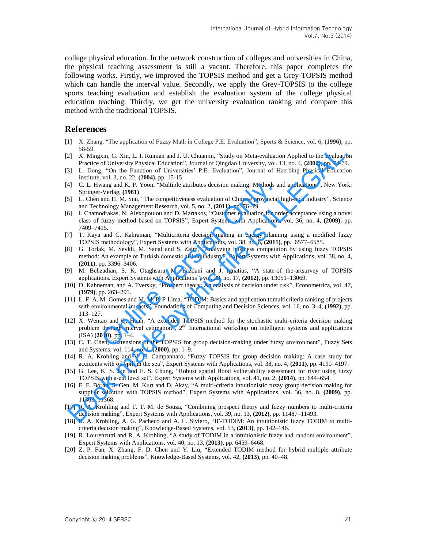college physical education. In the network construction of colleges and universities in China, the physical teaching assessment is still a vacant. Therefore, this paper completes the following works. Firstly, we improved the TOPSIS method and get a Grey-TOPSIS method which can handle the interval value. Secondly, we apply the Grey-TOPSIS to the college sports teaching evaluation and establish the evaluation system of the college physical education teaching. Thirdly, we get the university evaluation ranking and compare this method with the traditional TOPSIS.

### **References**

- [1] X. Zhang, "The application of Fuzzy Math in College P.E. Evaluation", Sports & Science, vol. 6, **(1996)**, pp. 58-59.
- [2] X. Mingxin, G. Xin, L. I. Ruinian and J. U. Chuanjin, "Study on Meta-evaluation Applied to the Evaluation Practice of University Physical Education", Journal of Qingdao University, vol. 13, no. 4, **(2002)**, pp. 74-79.
- [3] L. Dong, "On the Function of Universities' P.E. Evaluation", Journal of Haerbing Physical Education Institute, vol. 3, no. 22, **(2004)**, pp. 15-15.
- [4] C. L. Hwang and K. P. Yoon, "Multiple attributes decision making: Methods and applications", New York: Springer-Verlag, **(1981)**.
- [5] L. Chen and H. M. Sun, "The competitiveness evaluation of Chinese provincial high-tech industry", Science and Technology Management Research, vol. 5, no. 2, **(2011)**, pp. 76–79.
- [6] I. Chamodrakas, N. Alexopoulou and D. Martakos, "Customer evaluation for order acceptance using a novel class of fuzzy method based on TOPSIS", Expert Systems with Applications, vol. 36, no. 4, **(2009)**, pp. 7409–7415. vang and K. P. Yoon, "Multiple attributes decision making: Methods ar<br>
Verlag, (1981).<br>
2011, M. Sun, "The competitiveness evaluation of Chinese provincial<br>
and H. M. Sun, "The competitiveness evaluation of Chinese provin 58.30.<br>
28. X. Mingxin, G. Xin, L. I. Ruinian and J. U. Chuanjin, "Study on Meta-evaluation Applied to the Evaluation<br>
Practice of University Physical Education", Journal of Gingalao University, vol. 13, no. 4, 2000, pp. 7
- [7] T. Kaya and C. Kahraman, "Multicriteria decision making in energy planning using a modified fuzzy TOPSIS methodology", Expert Systems with Applications, vol. 38, no. 6, **(2011)**, pp. 6577–6585.
- [8] G. Torlak, M. Sevkli, M. Sanal and S. Zaim, "Analyzing business competition by using fuzzy TOPSIS method: An example of Turkish domestic airline industry", Expert Systems with Applications, vol. 38, no. 4, **(2011)**, pp. 3396–3406.
- [9] M. Behzadian, S. K. Otaghsara, M. Yazdani and J. Ignatius, "A state-of the-artsurvey of TOPSIS applications. Expert Systems with Applications", vol. 39, no. 17, **(2012)**, pp. 13051–13069.
- [10] D. Kahneman, and A. Tversky, "Prospect theory: An analysis of decision under risk", Econometrica, vol. 47, **(1979)**, pp. 263–291.
- [11] L. F. A. M. Gomes and M. M. P. P Lima, "TODIM: Basics and application tomulticriteria ranking of projects with environmental impacts", Foundations of Computing and Decision Sciences, vol. 16, no. 3–4, **(1992)**, pp. 113–127.
- [12] X. Wentao and Q. Huan, "A extended TOPSIS method for the stochastic multi-criteria decision making problem through interval estimation", 2<sup>nd</sup> International workshop on intelligent systems and applications (ISA) **(2010)**, pp. 1–4.
- [13] C. T. Chen, "Extensions of the TOPSIS for group decision-making under fuzzy environment", Fuzzy Sets and Systems, vol. 114, no. 1, **(2000)**, pp. 1–9.
- [14] R. A. Krohling and V. C. Campanharo, "Fuzzy TOPSIS for group decision making: A case study for accidents with oil spill in the sea", Expert Systems with Applications, vol. 38, no. 4, **(2011)**, pp. 4190–4197.
- [15] G. Lee, K. S. Jun and E. S. Chung, "Robust spatial flood vulnerability assessment for river using fuzzy TOPSIS with a-cut level set", Expert Systems with Applications, vol. 41, no. 2, **(2014)**, pp. 644–654.
- [16] F. E. Boran, S. Gen, M. Kurt and D. Akay, "A multi-criteria intuitionistic fuzzy group decision making for supplier selection with TOPSIS method", Expert Systems with Applications, vol. 36, no. 8, **(2009)**, pp. 11363–11368.
- [17] R. A. Krohling and T. T. M. de Souza, "Combining prospect theory and fuzzy numbers to multi-criteria decision making", Expert Systems with Applications, vol. 39, no. 13, **(2012)**, pp. 11487–11493.
- [18] R. A. Krohling, A. G. Pacheco and A. L. Siviero, "IF-TODIM: An intuitionistic fuzzy TODIM to multicriteria decision making", Knowledge-Based Systems, vol. 53, **(2013)**, pp. 142–146.
- [19] R. Lourenzutti and R. A. Krohling, "A study of TODIM in a intuitionistic fuzzy and random environment", Expert Systems with Applications, vol. 40, no. 13, **(2013)**, pp. 6459–6468.
- [20] Z. P. Fan, X. Zhang, F. D. Chen and Y. Liu, "Extended TODIM method for hybrid multiple attribute decision making problems", Knowledge-Based Systems, vol. 42, **(2013)**, pp. 40–48.